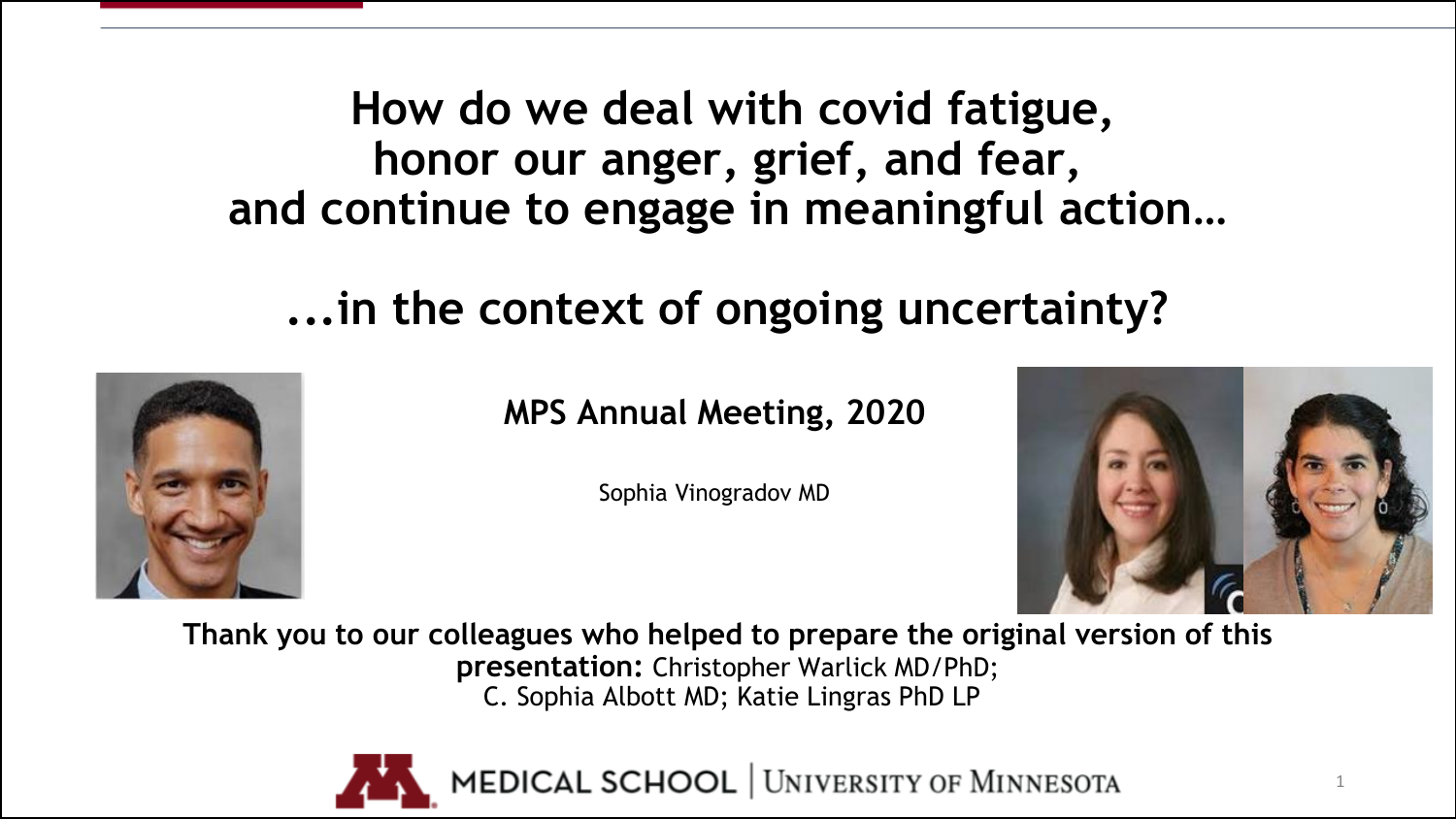**How do we deal with covid fatigue, honor our anger, grief, and fear, and continue to engage in meaningful action…**

# **...in the context of ongoing uncertainty?**



**MPS Annual Meeting, 2020**

Sophia Vinogradov MD



**Thank you to our colleagues who helped to prepare the original version of this presentation:** Christopher Warlick MD/PhD; C. Sophia Albott MD; Katie Lingras PhD LP



**IEDICAL SCHOOL** UNIVERSITY OF MINNESOTA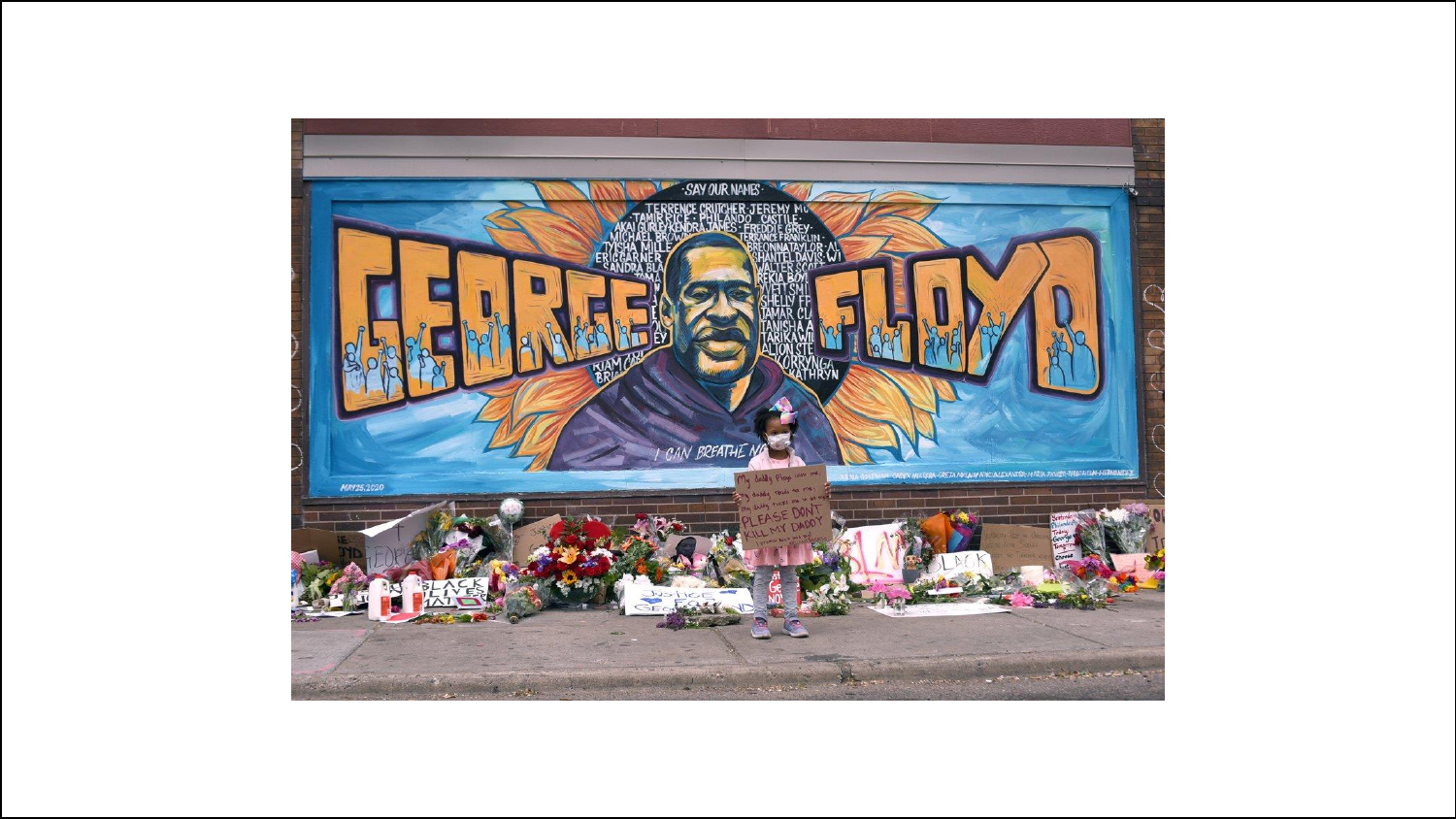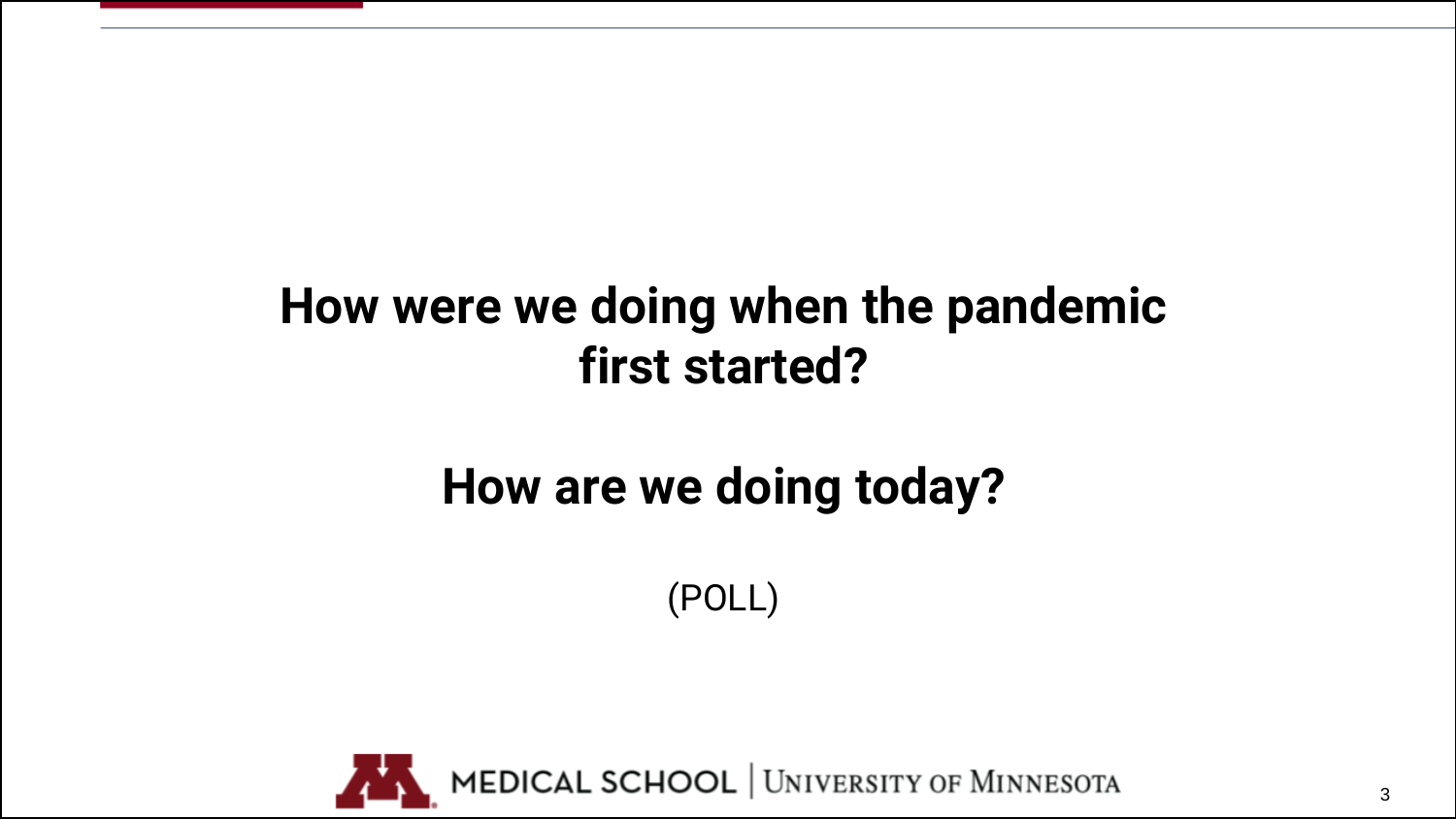# **How were we doing when the pandemic first started?**

# **How are we doing today?**

(POLL)

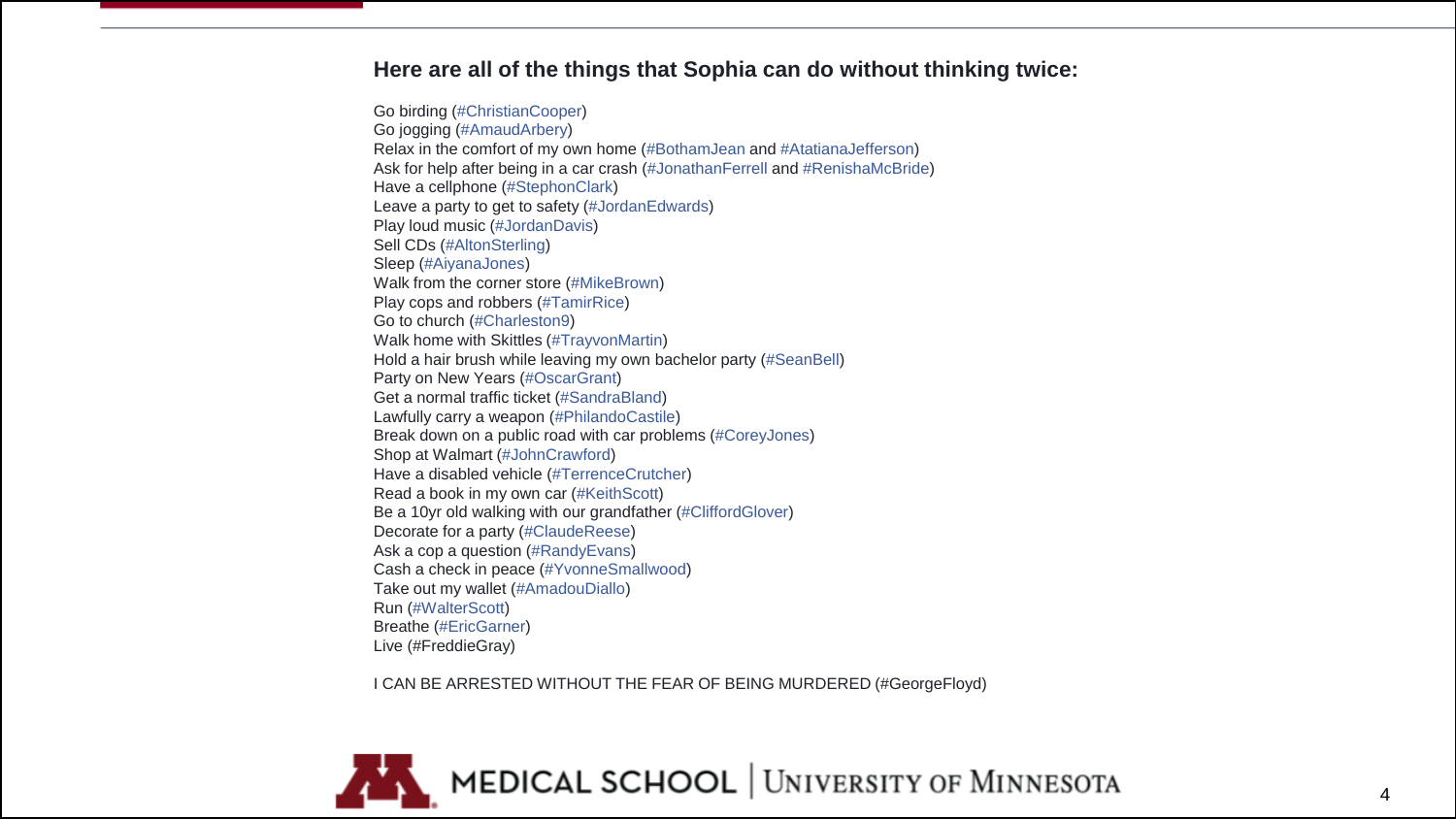#### **Here are all of the things that Sophia can do without thinking twice:**

Go birding [\(#ChristianCooper\)](https://www.facebook.com/hashtag/christiancooper?__eep__=6&source=feed_text&epa=HASHTAG) Go jogging ([#AmaudArbery](https://www.facebook.com/hashtag/amaudarbery?__eep__=6&source=feed_text&epa=HASHTAG)) Relax in the comfort of my own home [\(#BothamJean](https://www.facebook.com/hashtag/bothamjean?__eep__=6&source=feed_text&epa=HASHTAG) and [#AtatianaJefferson\)](https://www.facebook.com/hashtag/atatianajefferson?__eep__=6&source=feed_text&epa=HASHTAG) Ask for help after being in a car crash ([#JonathanFerrell](https://www.facebook.com/hashtag/jonathanferrell?__eep__=6&source=feed_text&epa=HASHTAG) and [#RenishaMcBride\)](https://www.facebook.com/hashtag/renishamcbride?__eep__=6&source=feed_text&epa=HASHTAG) Have a cellphone [\(#StephonClark](https://www.facebook.com/hashtag/stephonclark?__eep__=6&source=feed_text&epa=HASHTAG)) Leave a party to get to safety [\(#JordanEdwards](https://www.facebook.com/hashtag/jordanedwards?__eep__=6&source=feed_text&epa=HASHTAG)) Play loud music [\(#JordanDavis](https://www.facebook.com/hashtag/jordandavis?__eep__=6&source=feed_text&epa=HASHTAG)) Sell CDs ([#AltonSterling\)](https://www.facebook.com/hashtag/altonsterling?__eep__=6&source=feed_text&epa=HASHTAG) Sleep ([#AiyanaJones](https://www.facebook.com/hashtag/aiyanajones?__eep__=6&source=feed_text&epa=HASHTAG)) Walk from the corner store [\(#MikeBrown\)](https://www.facebook.com/hashtag/mikebrown?__eep__=6&source=feed_text&epa=HASHTAG) Play cops and robbers [\(#TamirRice\)](https://www.facebook.com/hashtag/tamirrice?__eep__=6&source=feed_text&epa=HASHTAG) Go to church ([#Charleston9\)](https://www.facebook.com/hashtag/charleston9?__eep__=6&source=feed_text&epa=HASHTAG) Walk home with Skittles ([#TrayvonMartin\)](https://www.facebook.com/hashtag/trayvonmartin?__eep__=6&source=feed_text&epa=HASHTAG) Hold a hair brush while leaving my own bachelor party [\(#SeanBell\)](https://www.facebook.com/hashtag/seanbell?__eep__=6&source=feed_text&epa=HASHTAG) Party on New Years [\(#OscarGrant](https://www.facebook.com/hashtag/oscargrant?__eep__=6&source=feed_text&epa=HASHTAG)) Get a normal traffic ticket [\(#SandraBland](https://www.facebook.com/hashtag/sandrabland?__eep__=6&source=feed_text&epa=HASHTAG)) Lawfully carry a weapon ([#PhilandoCastile](https://www.facebook.com/hashtag/philandocastile?__eep__=6&source=feed_text&epa=HASHTAG)) Break down on a public road with car problems ([#CoreyJones\)](https://www.facebook.com/hashtag/coreyjones?__eep__=6&source=feed_text&epa=HASHTAG) Shop at Walmart ([#JohnCrawford\)](https://www.facebook.com/hashtag/johncrawford?__eep__=6&source=feed_text&epa=HASHTAG) Have a disabled vehicle [\(#TerrenceCrutcher\)](https://www.facebook.com/hashtag/terrencecrutcher?__eep__=6&source=feed_text&epa=HASHTAG) Read a book in my own car [\(#KeithScott](https://www.facebook.com/hashtag/keithscott?__eep__=6&source=feed_text&epa=HASHTAG)) Be a 10yr old walking with our grandfather [\(#CliffordGlover\)](https://www.facebook.com/hashtag/cliffordglover?__eep__=6&source=feed_text&epa=HASHTAG) Decorate for a party ([#ClaudeReese\)](https://www.facebook.com/hashtag/claudereese?__eep__=6&source=feed_text&epa=HASHTAG) Ask a cop a question [\(#RandyEvans\)](https://www.facebook.com/hashtag/randyevans?__eep__=6&source=feed_text&epa=HASHTAG) Cash a check in peace [\(#YvonneSmallwood\)](https://www.facebook.com/hashtag/yvonnesmallwood?__eep__=6&source=feed_text&epa=HASHTAG) Take out my wallet [\(#AmadouDiallo](https://www.facebook.com/hashtag/amadoudiallo?__eep__=6&source=feed_text&epa=HASHTAG)) Run [\(#WalterScott\)](https://www.facebook.com/hashtag/walterscott?__eep__=6&source=feed_text&epa=HASHTAG) Breathe [\(#EricGarner\)](https://www.facebook.com/hashtag/ericgarner?__eep__=6&source=feed_text&epa=HASHTAG) Live (#FreddieGray)

I CAN BE ARRESTED WITHOUT THE FEAR OF BEING MURDERED (#GeorgeFloyd)

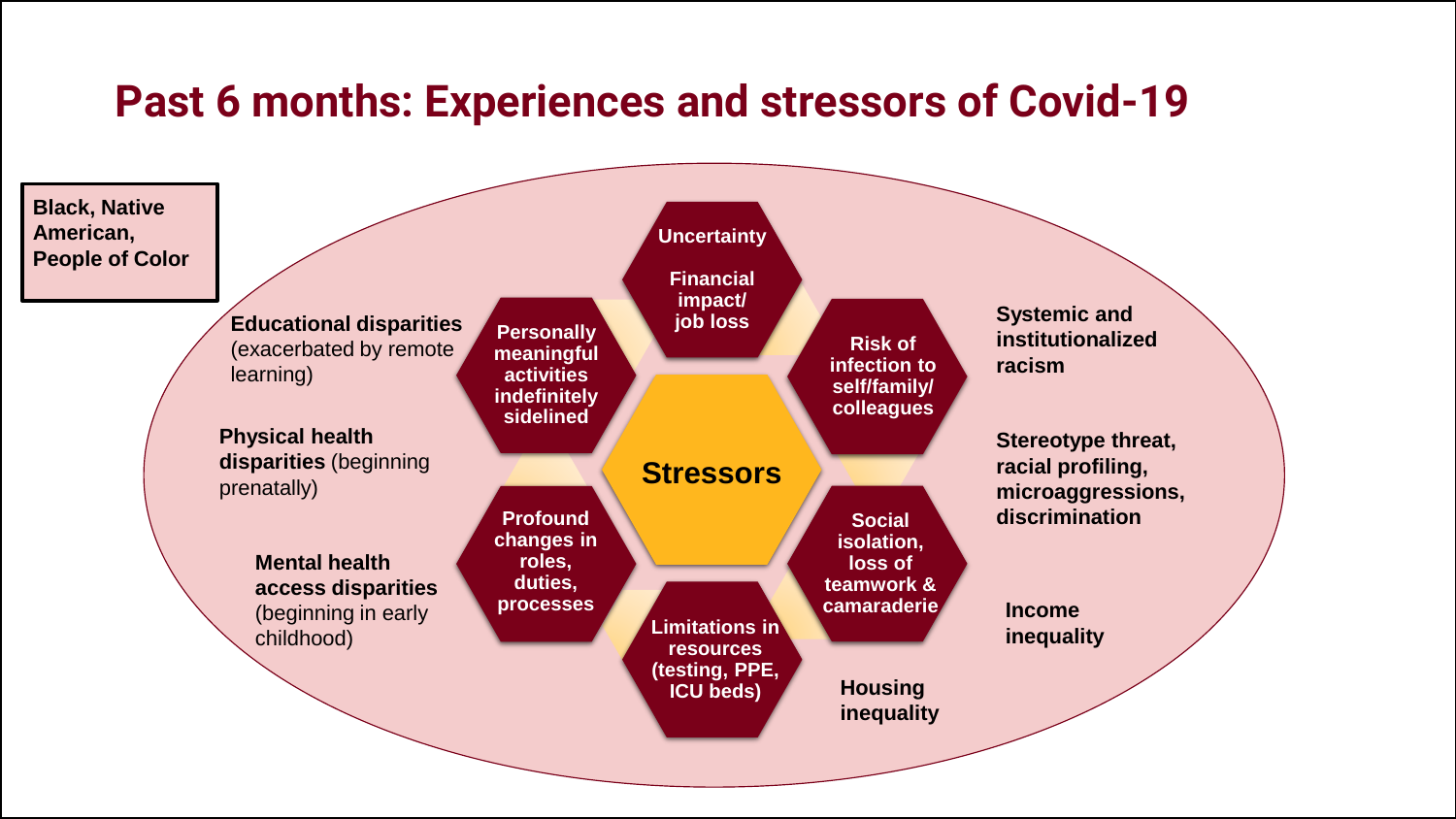### **Past 6 months: Experiences and stressors of Covid-19**

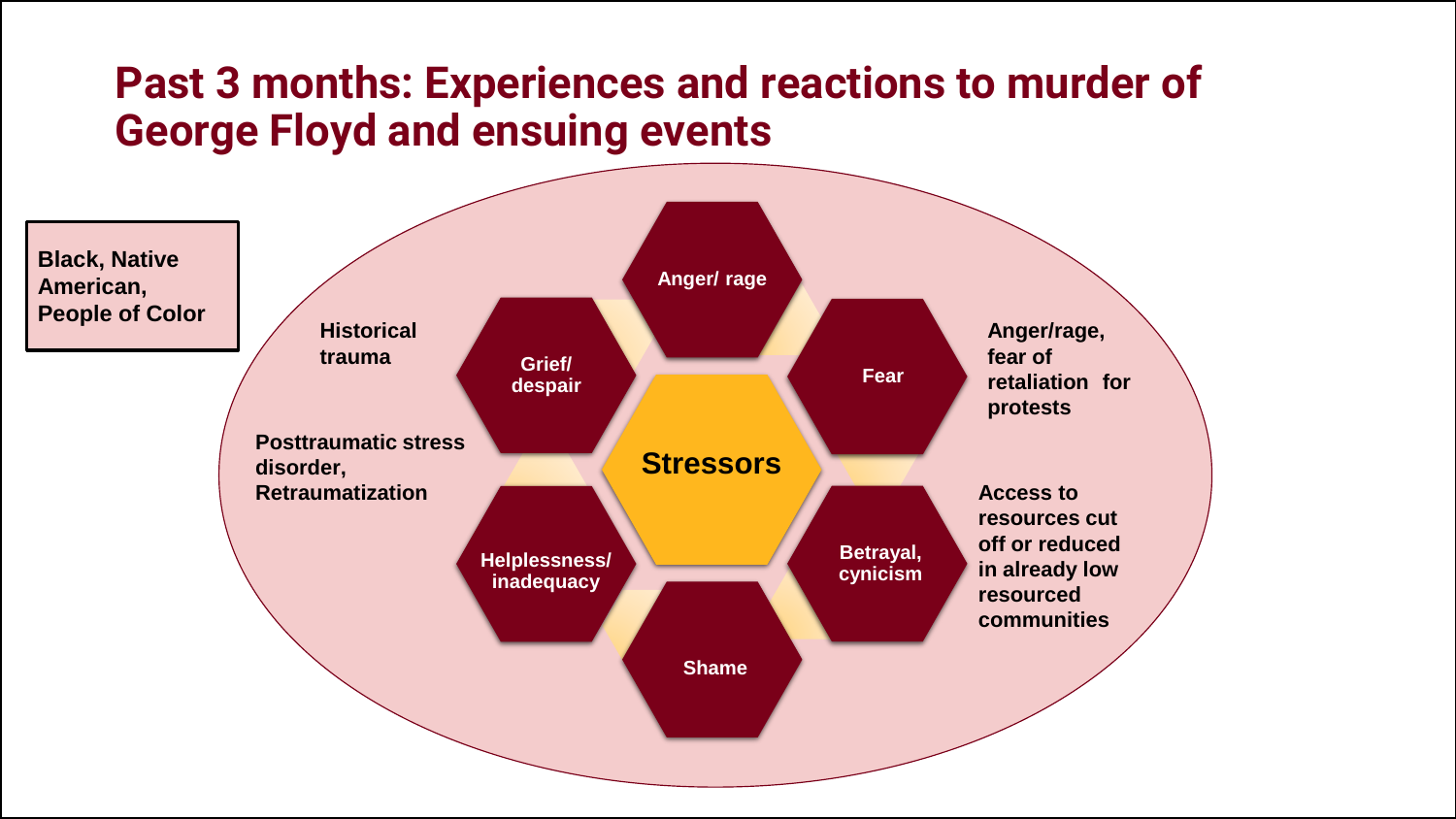### **Past 3 months: Experiences and reactions to murder of George Floyd and ensuing events**

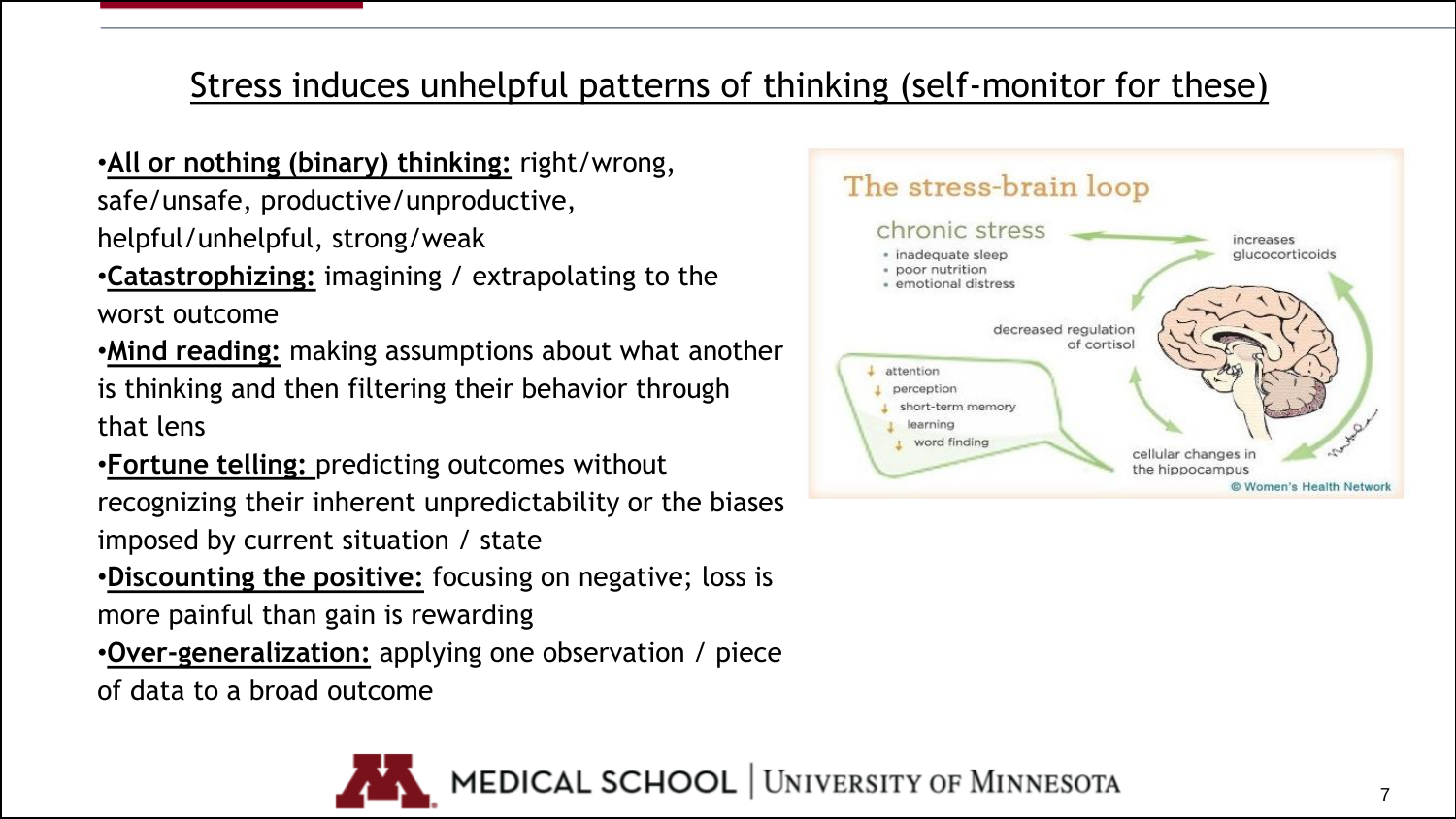#### Stress induces unhelpful patterns of thinking (self-monitor for these)

•**All or nothing (binary) thinking:** right/wrong, safe/unsafe, productive/unproductive, helpful/unhelpful, strong/weak

•**Catastrophizing:** imagining / extrapolating to the worst outcome

•**Mind reading:** making assumptions about what another is thinking and then filtering their behavior through that lens

•**Fortune telling:** predicting outcomes without recognizing their inherent unpredictability or the biases imposed by current situation / state

•**Discounting the positive:** focusing on negative; loss is

more painful than gain is rewarding

•**Over-generalization:** applying one observation / piece

of data to a broad outcome



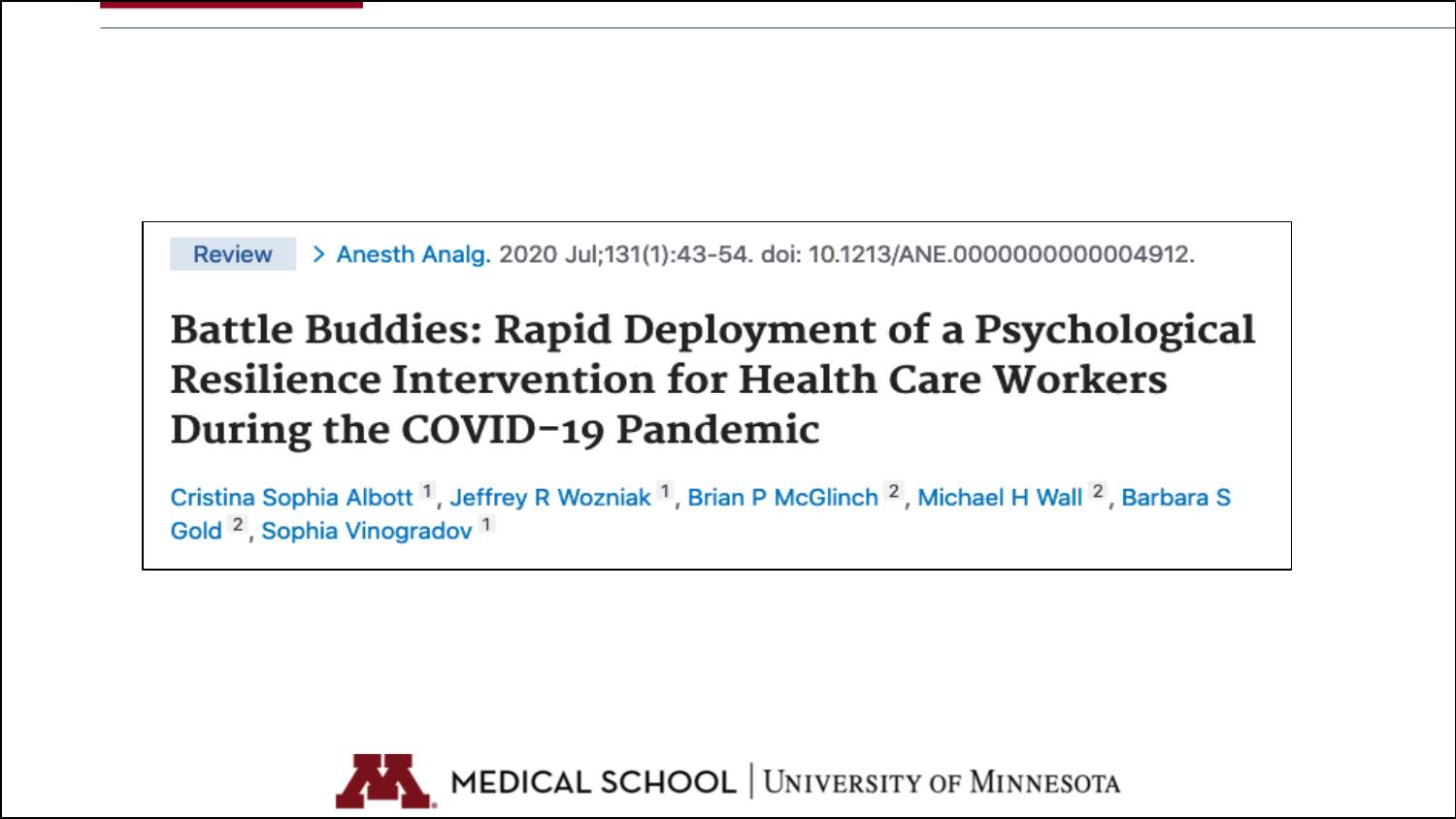> Anesth Analg. 2020 Jul;131(1):43-54. doi: 10.1213/ANE.0000000000004912. **Review** 

### Battle Buddies: Rapid Deployment of a Psychological **Resilience Intervention for Health Care Workers** During the COVID-19 Pandemic

Cristina Sophia Albott<sup>1</sup>, Jeffrey R Wozniak<sup>1</sup>, Brian P McGlinch<sup>2</sup>, Michael H Wall<sup>2</sup>, Barbara S Gold<sup>2</sup>, Sophia Vinogradov<sup>1</sup>

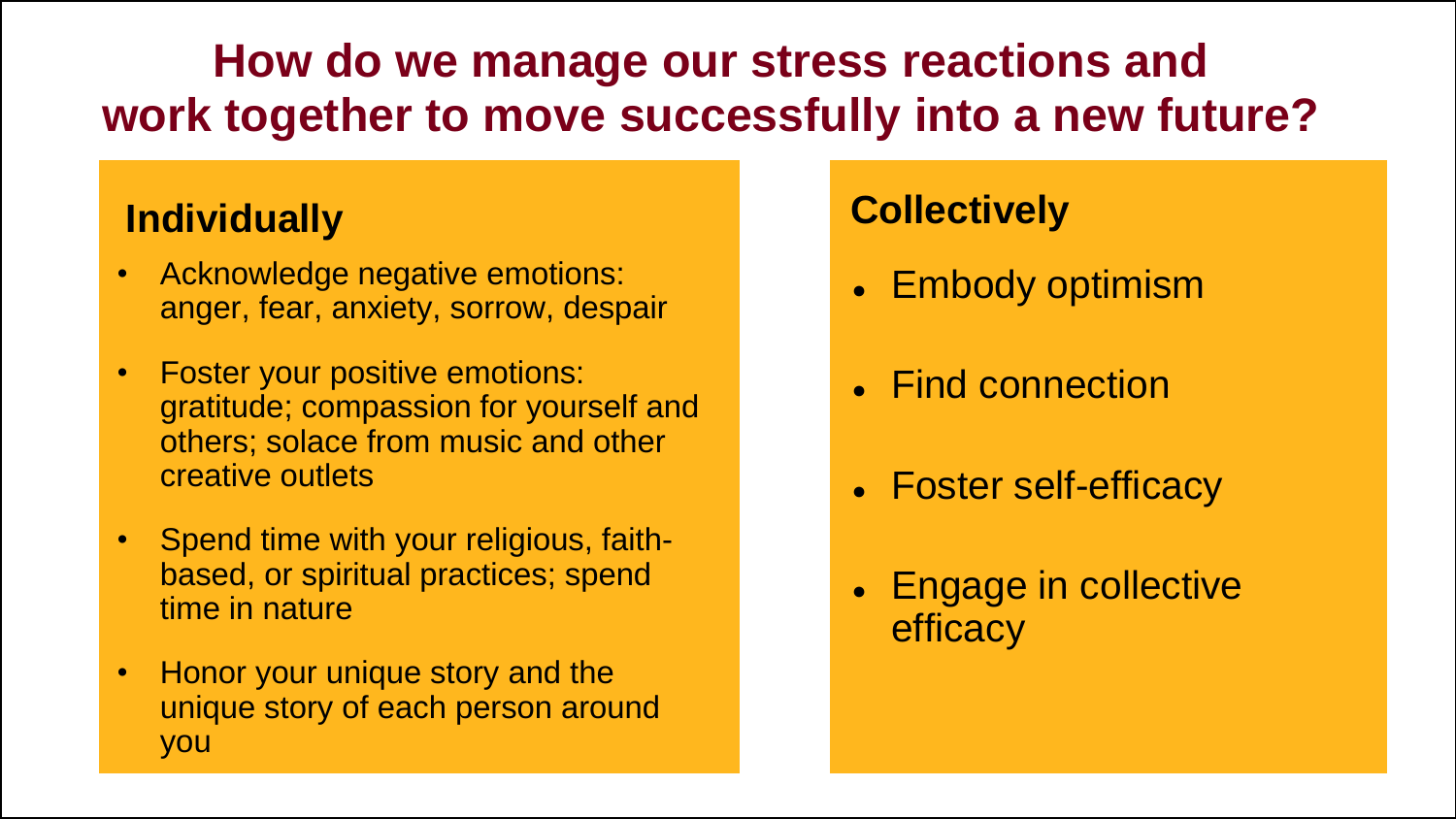# **How do we manage our stress reactions and work together to move successfully into a new future?**

#### **Individually**

- Acknowledge negative emotions: anger, fear, anxiety, sorrow, despair
- Foster your positive emotions: gratitude; compassion for yourself and others; solace from music and other creative outlets
- Spend time with your religious, faithbased, or spiritual practices; spend time in nature
- Honor your unique story and the unique story of each person around you

#### **Collectively**

- Embody optimism
- Find connection
- Foster self-efficacy
- **Engage in collective** efficacy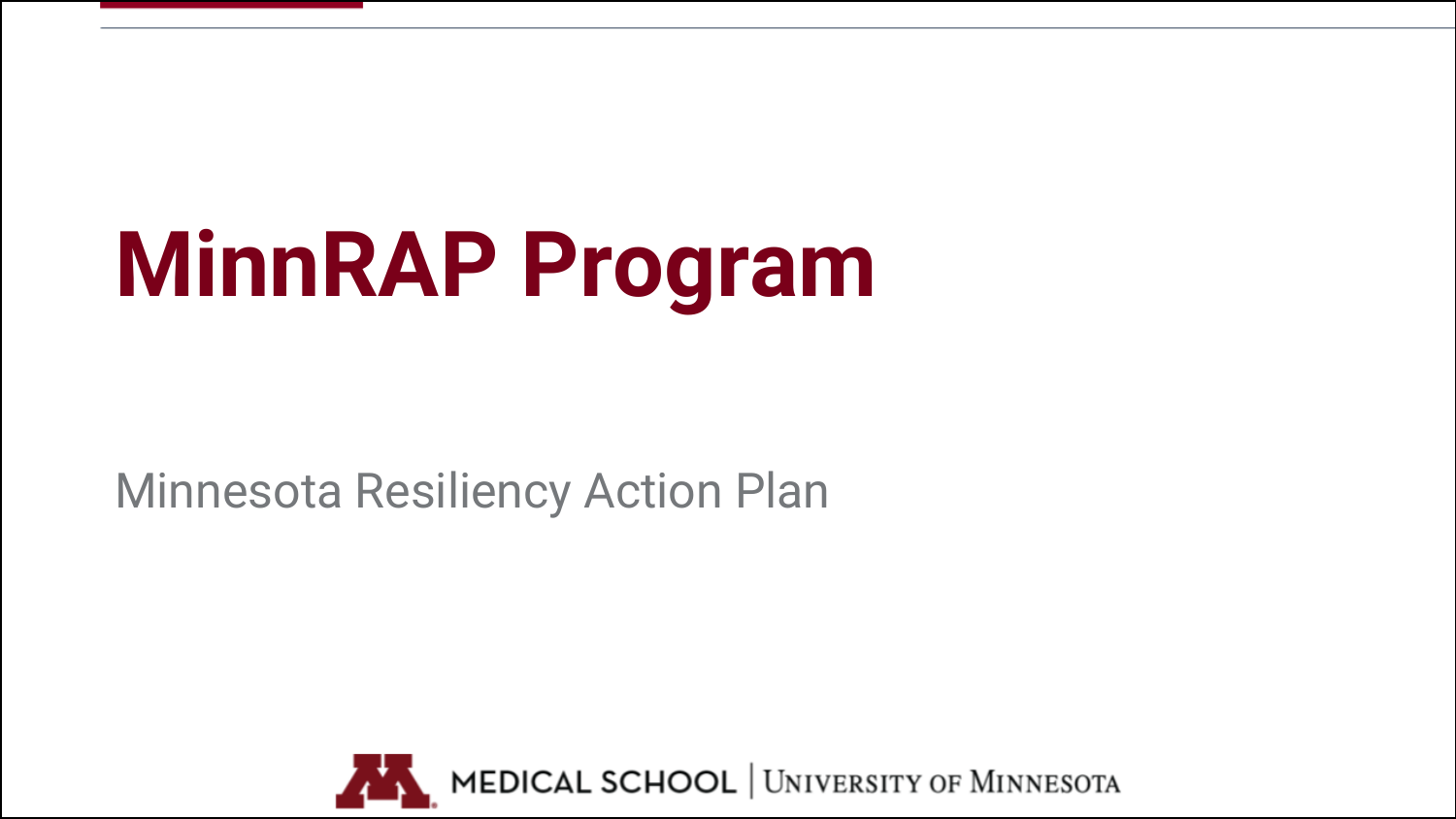# **MinnRAP Program**

Minnesota Resiliency Action Plan

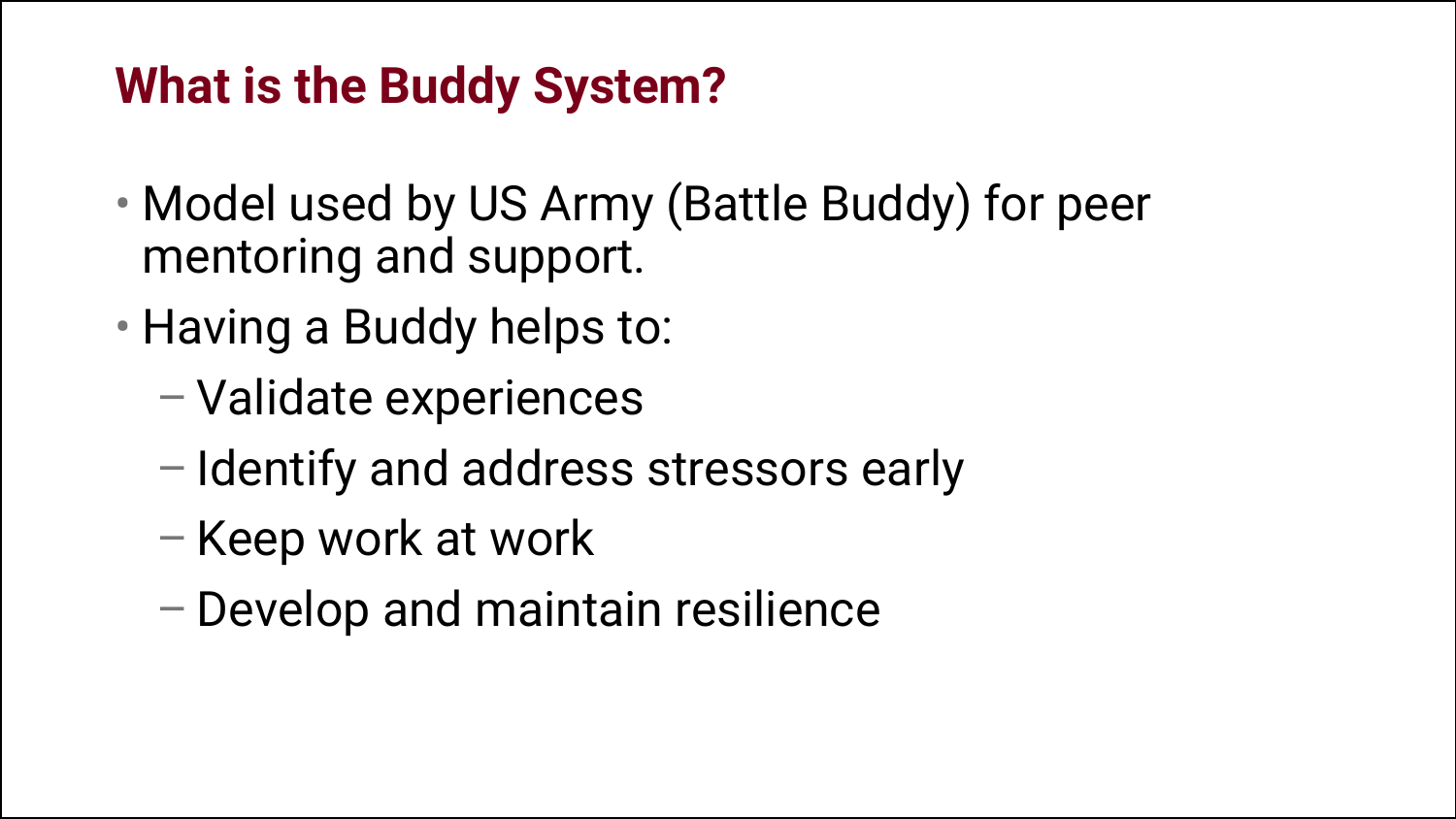# **What is the Buddy System?**

- Model used by US Army (Battle Buddy) for peer mentoring and support.
- Having a Buddy helps to:
	- Validate experiences
	- Identify and address stressors early
	- Keep work at work
	- Develop and maintain resilience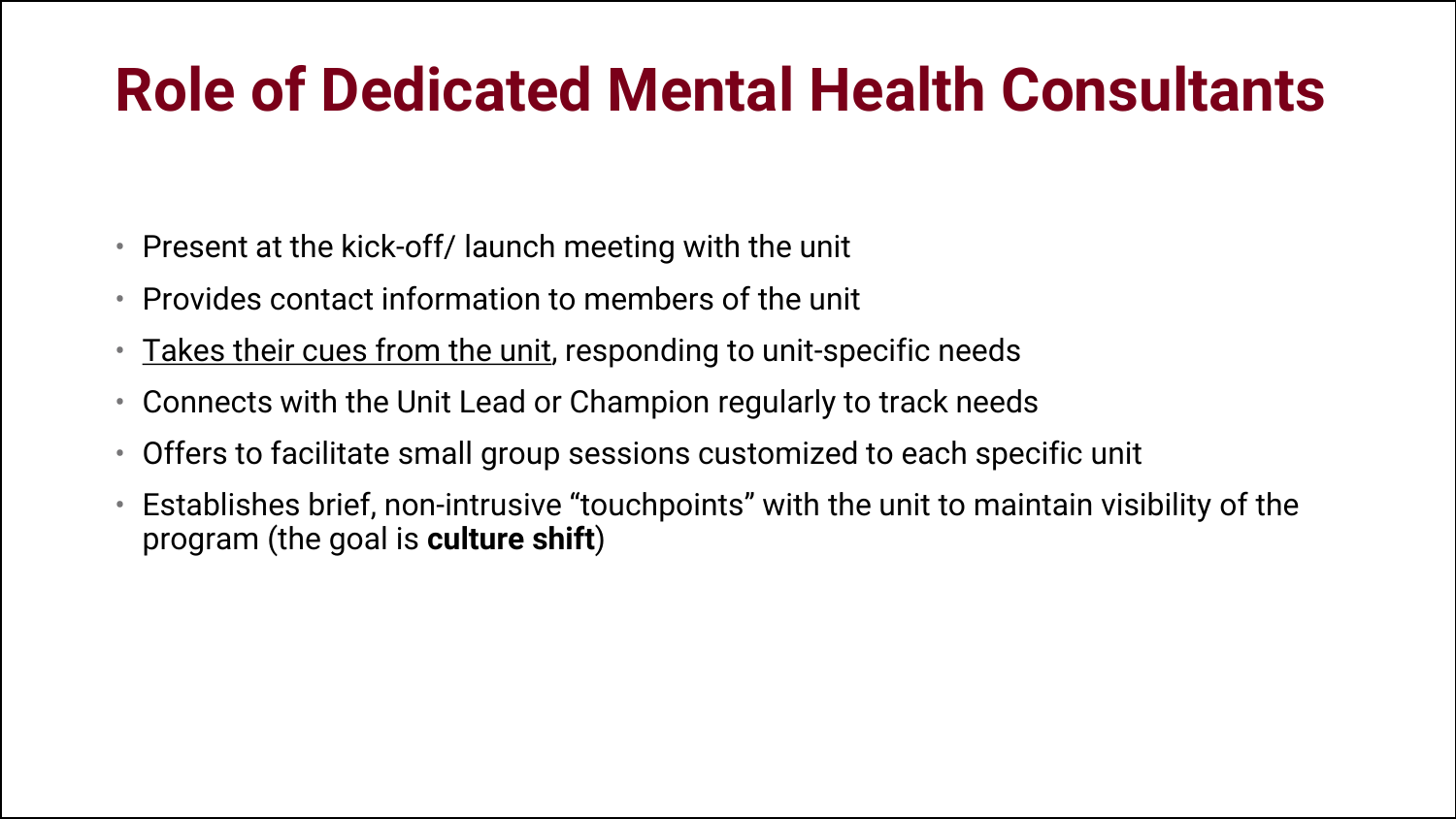# **Role of Dedicated Mental Health Consultants**

- Present at the kick-off/ launch meeting with the unit
- Provides contact information to members of the unit
- Takes their cues from the unit, responding to unit-specific needs
- Connects with the Unit Lead or Champion regularly to track needs
- Offers to facilitate small group sessions customized to each specific unit
- Establishes brief, non-intrusive "touchpoints" with the unit to maintain visibility of the program (the goal is **culture shift**)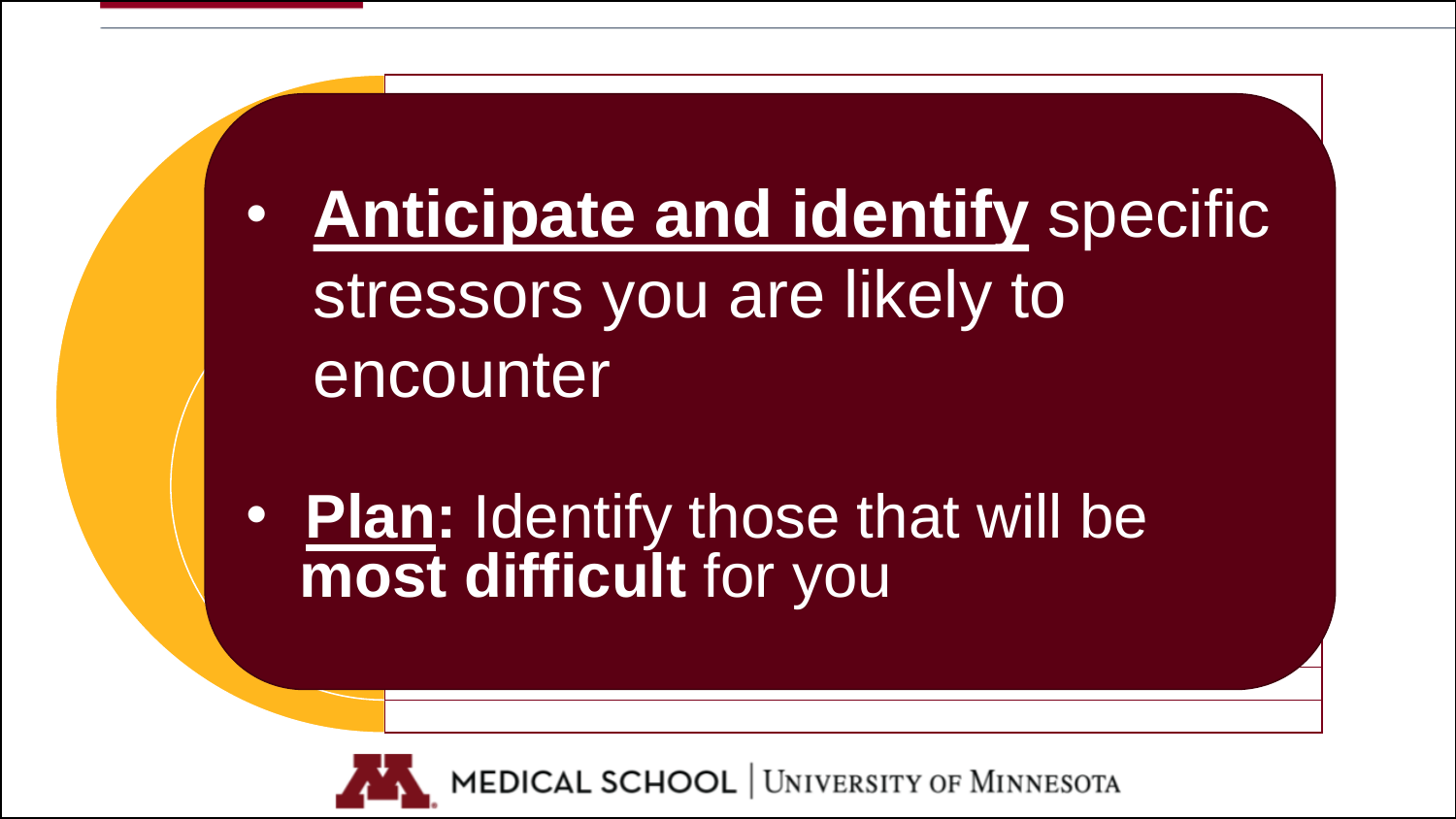**Anticipate** encounter • Describe **your likely responses** to these stressors  $\mathsf{IK}\ominus\mathsf{IV}$  the stressors and responses that will stressors you are likely to • **Anticipate and identify** specific

**determines**  $\mathbf{H}$  are experiencing and  $\mathbf{H}$ escalating or cumulative stressors and coping responses are getting overwhelmed, it is not your job to be a therapist. Please move into the **Deter** phase by seeking or helping your BB • **Plan:** Identify those that will be **most difficult** for you

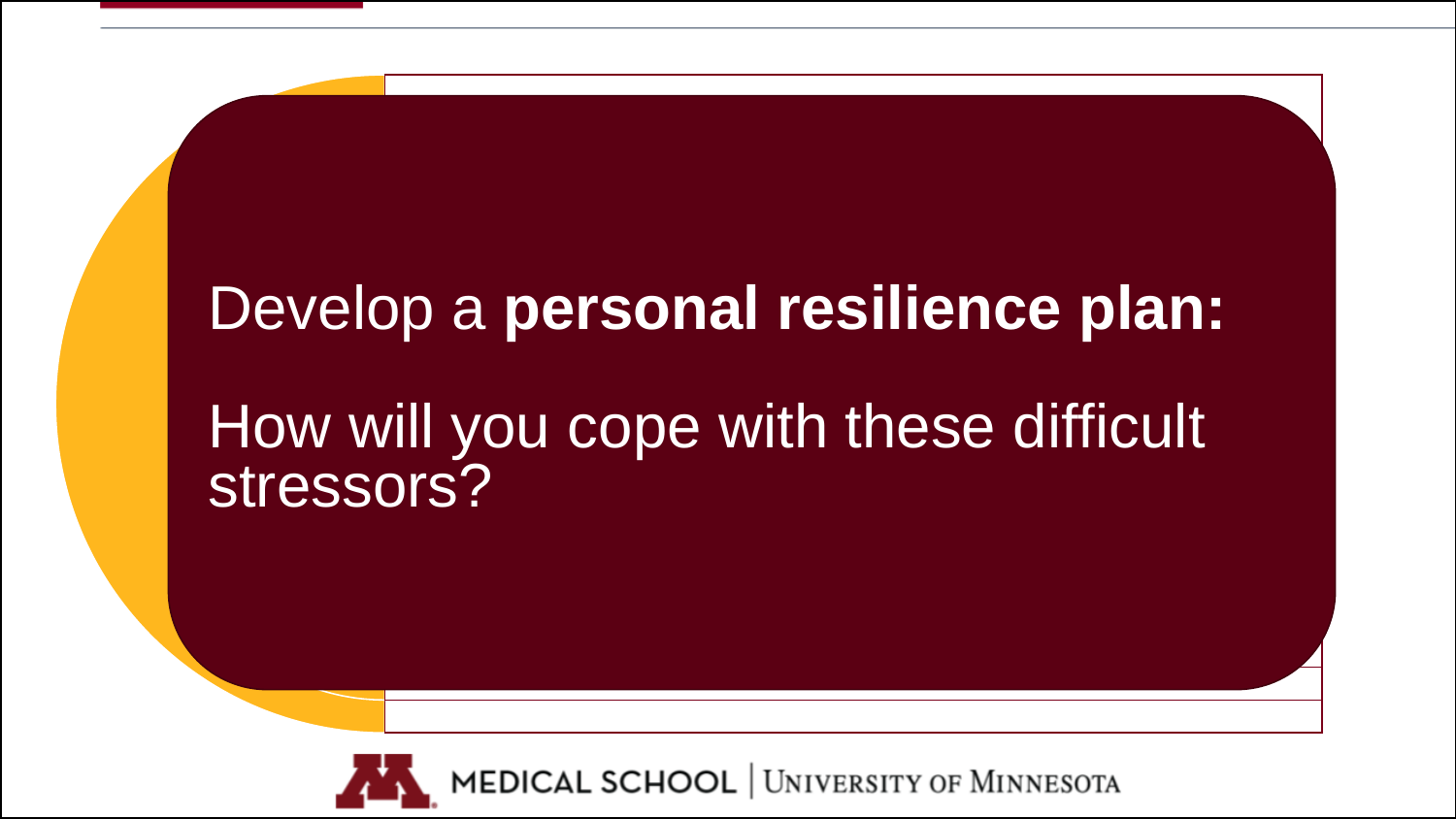#### • Identify the stressors and responses that will **Develop a personal resilience plan:** • Describe your **personal resilience plan:** How

### **Plant resources are available to you? What resources are available to you? What resources are available to you<br>The sources are available to you? What resources are available to you? What is a second to you? What is a seco** sooo diffiquilt will a How will you cope with these difficult stressors?

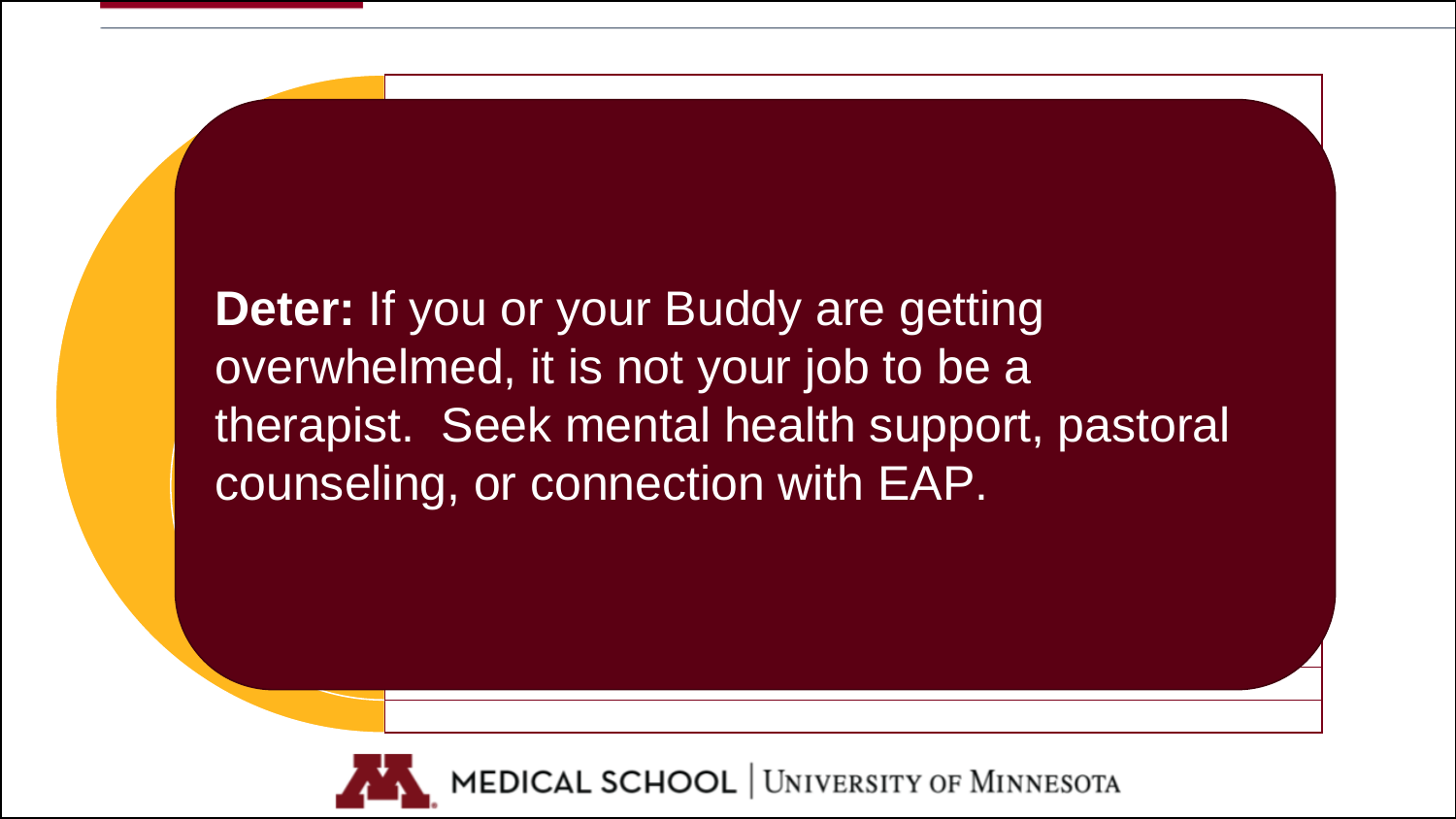residence your job to be a<br> **Planning of the planning of the planning of the planning of the planning of the planning of the planning of the** • Identify the stressors and responses that will **Deter: If you or your Buddy are getting** overwhelmed, it is not your job to be a sunnart nactoral vi therapist. Seek mental health support, pastoral counseling, or connection with EAP. The counseling are experienced as  $\sim$ 

• **Anticipate and identify** the specific stressors

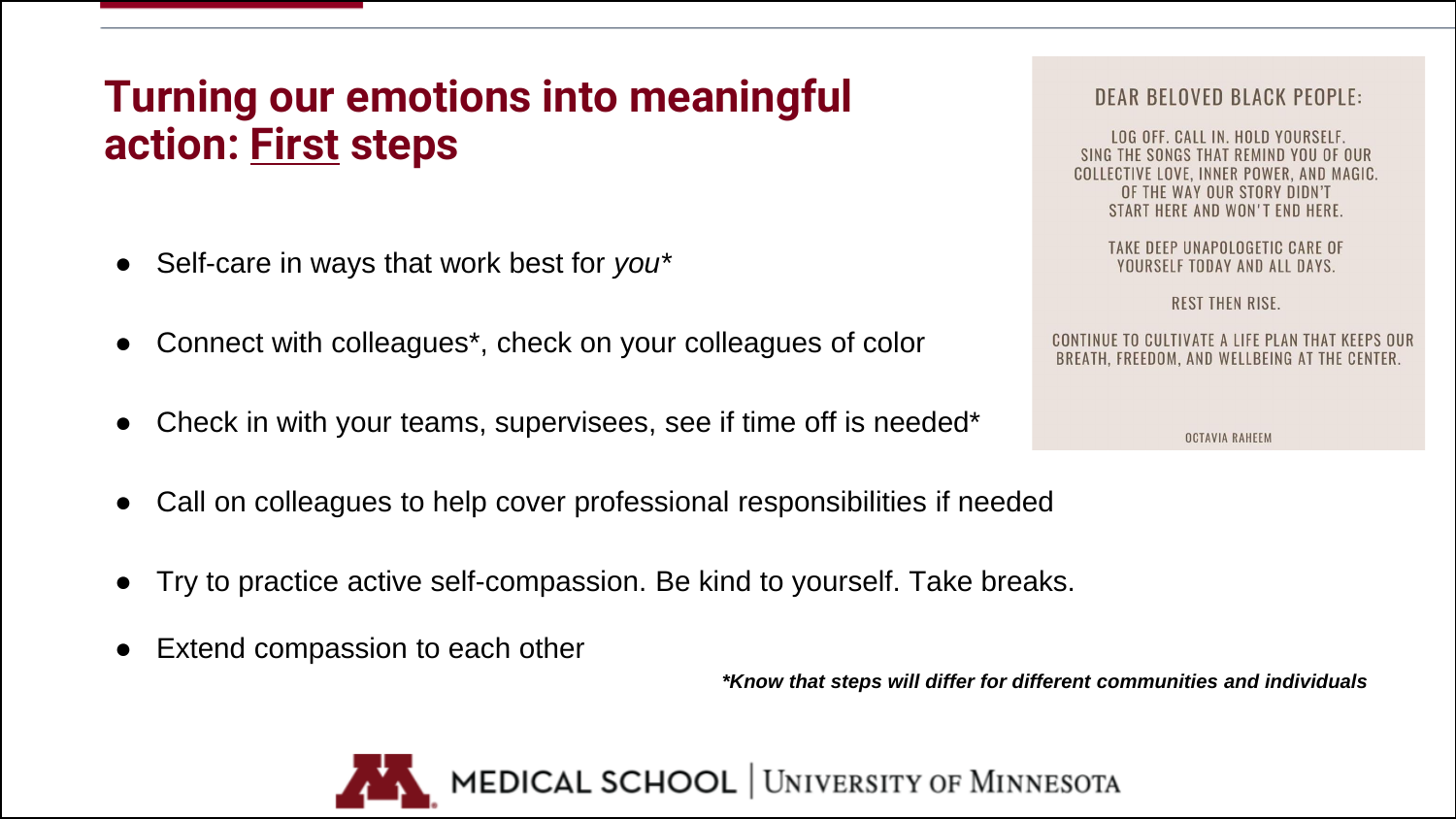### **Turning our emotions into meaningful action: First steps**

- Self-care in ways that work best for *you\**
- Connect with colleagues<sup>\*</sup>, check on your colleagues of color
- Check in with your teams, supervisees, see if time off is needed\*
- Call on colleagues to help cover professional responsibilities if needed
- Try to practice active self-compassion. Be kind to yourself. Take breaks.
- Extend compassion to each other

*\*Know that steps will differ for different communities and individuals*

MEDICAL SCHOOL UNIVERSITY OF MINNESOTA

#### **DEAR BELOVED BLACK PEOPLE:**

LOG OFF. CALL IN. HOLD YOURSELF. SING THE SONGS THAT REMIND YOU OF OUR COLLECTIVE LOVE, INNER POWER, AND MAGIC. OF THE WAY OUR STORY DIDN'T START HERE AND WON'T END HERE.

> TAKE DEEP UNAPOLOGETIC CARE OF YOURSELF TODAY AND ALL DAYS.

> > **REST THEN RISE.**

CONTINUE TO CULTIVATE A LIFE PLAN THAT KEEPS OUR BREATH, FREEDOM, AND WELLBEING AT THE CENTER.

**OCTAVIA RAHEEM**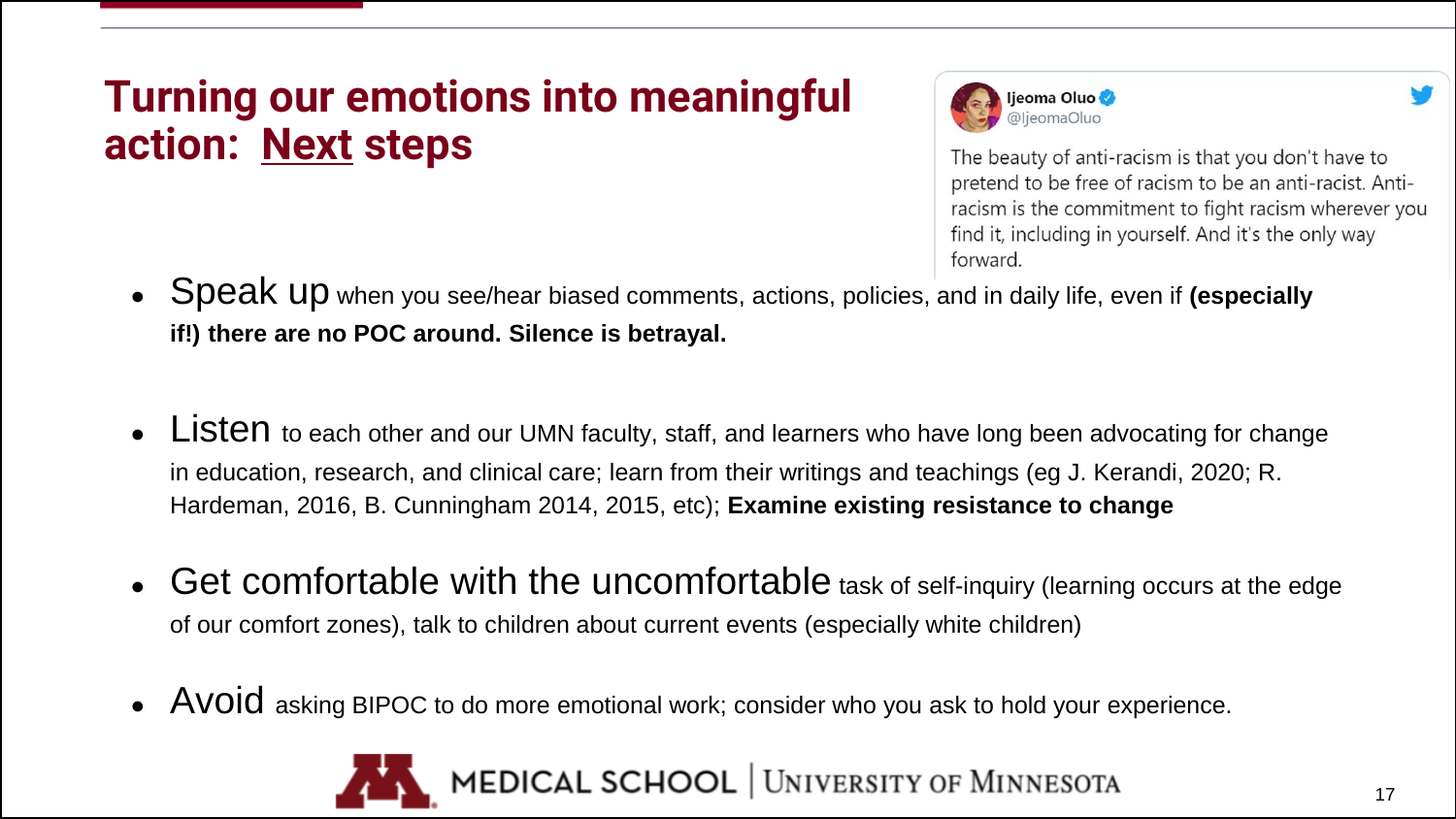# **Turning our emotions into meaningful action: Next steps**



The beauty of anti-racism is that you don't have to pretend to be free of racism to be an anti-racist. Antiracism is the commitment to fight racism wherever you find it, including in yourself. And it's the only way forward.

- Speak up when you see/hear biased comments, actions, policies, and in daily life, even if **(especially if!) there are no POC around. Silence is betrayal.**
- Listen to each other and our UMN faculty, staff, and learners who have long been advocating for change in education, research, and clinical care; learn from their writings and teachings (eg J. Kerandi, 2020; R. Hardeman, 2016, B. Cunningham 2014, 2015, etc); **Examine existing resistance to change**
- Get comfortable with the uncomfortable task of self-inquiry (learning occurs at the edge of our comfort zones), talk to children about current events (especially white children)
- AVOID asking BIPOC to do more emotional work; consider who you ask to hold your experience.

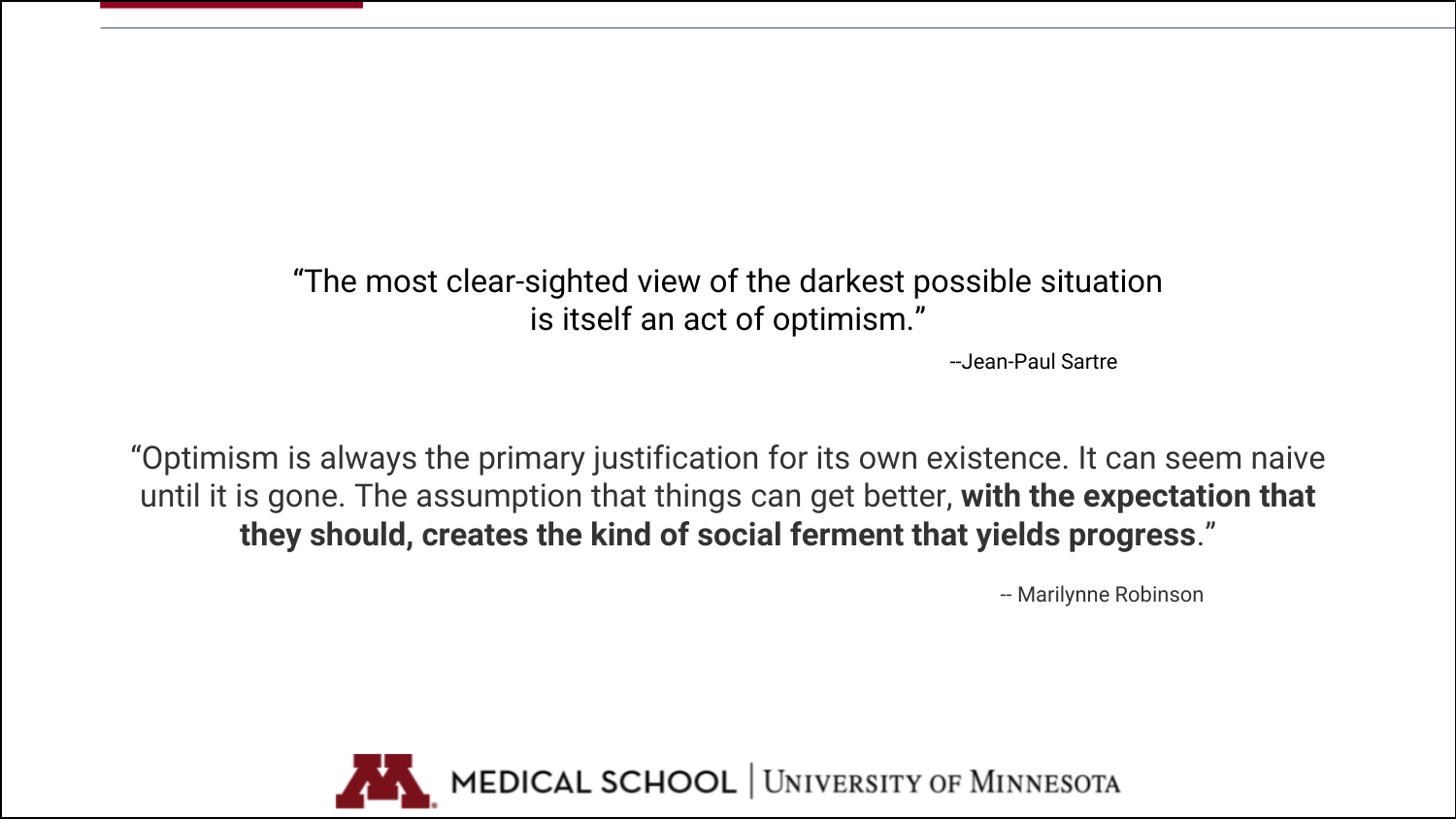#### "The most clear-sighted view of the darkest possible situation is itself an act of optimism."

--Jean-Paul Sartre

"Optimism is always the primary justification for its own existence. It can seem naive until it is gone. The assumption that things can get better, **with the expectation that they should, creates the kind of social ferment that yields progress**."

-- Marilynne Robinson